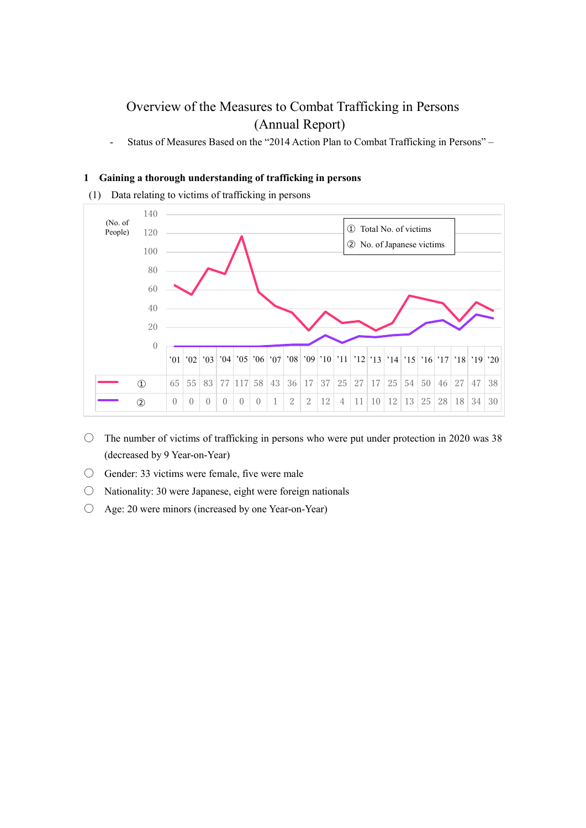# Overview of the Measures to Combat Trafficking in Persons (Annual Report)

- Status of Measures Based on the "2014 Action Plan to Combat Trafficking in Persons" –

## **1 Gaining a thorough understanding of trafficking in persons**

(1) Data relating to victims of trafficking in persons



- $\circ$  The number of victims of trafficking in persons who were put under protection in 2020 was 38 (decreased by 9 Year-on-Year)
- Gender: 33 victims were female, five were male
- $\circ$  Nationality: 30 were Japanese, eight were foreign nationals
- Age: 20 were minors (increased by one Year-on-Year)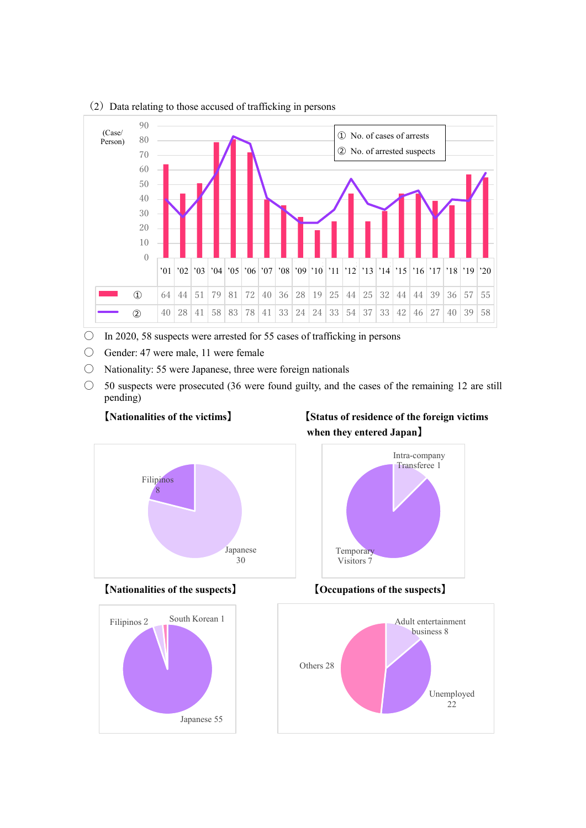

 $(2)$  Data relating to those accused of trafficking in persons

- $\circ$  In 2020, 58 suspects were arrested for 55 cases of trafficking in persons
- Gender: 47 were male, 11 were female
- $\circ$  Nationality: 55 were Japanese, three were foreign nationals
- $\circ$  50 suspects were prosecuted (36 were found guilty, and the cases of the remaining 12 are still pending)

# 【**Nationalities of the victims**】 【**Status of residence of the foreign victims when they entered Japan**】

Intra-company Transferee 1







【**Nationalities of the suspects**】 【**Occupations of the suspects**】

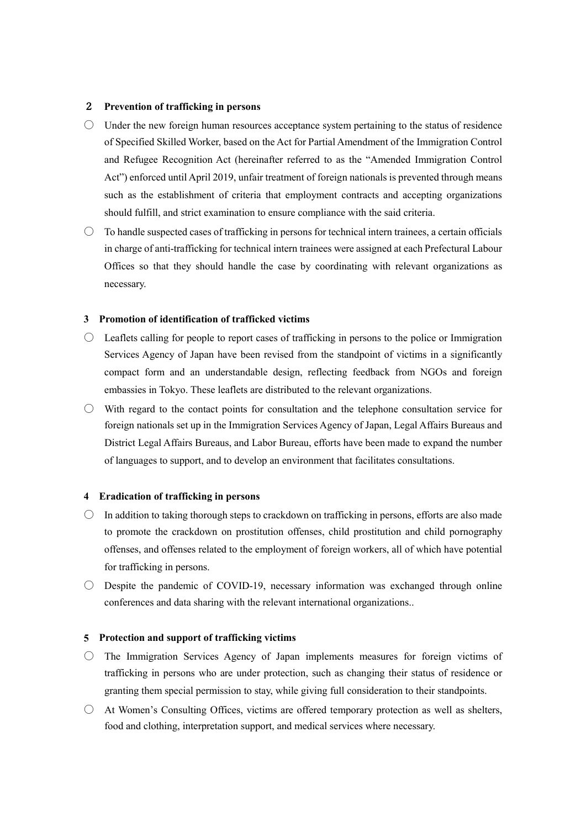### 2 **Prevention of trafficking in persons**

- Under the new foreign human resources acceptance system pertaining to the status of residence of Specified Skilled Worker, based on the Act for Partial Amendment of the Immigration Control and Refugee Recognition Act (hereinafter referred to as the "Amended Immigration Control Act") enforced until April 2019, unfair treatment of foreign nationals is prevented through means such as the establishment of criteria that employment contracts and accepting organizations should fulfill, and strict examination to ensure compliance with the said criteria.
- $\circ$  To handle suspected cases of trafficking in persons for technical intern trainees, a certain officials in charge of anti-trafficking for technical intern trainees were assigned at each Prefectural Labour Offices so that they should handle the case by coordinating with relevant organizations as necessary.

### **3 Promotion of identification of trafficked victims**

- Leaflets calling for people to report cases of trafficking in persons to the police or Immigration Services Agency of Japan have been revised from the standpoint of victims in a significantly compact form and an understandable design, reflecting feedback from NGOs and foreign embassies in Tokyo. These leaflets are distributed to the relevant organizations.
- $\bigcirc$  With regard to the contact points for consultation and the telephone consultation service for foreign nationals set up in the Immigration Services Agency of Japan, Legal Affairs Bureaus and District Legal Affairs Bureaus, and Labor Bureau, efforts have been made to expand the number of languages to support, and to develop an environment that facilitates consultations.

#### **4 Eradication of trafficking in persons**

- $\circ$  In addition to taking thorough steps to crackdown on trafficking in persons, efforts are also made to promote the crackdown on prostitution offenses, child prostitution and child pornography offenses, and offenses related to the employment of foreign workers, all of which have potential for trafficking in persons.
- $\circ$  Despite the pandemic of COVID-19, necessary information was exchanged through online conferences and data sharing with the relevant international organizations..

#### **5 Protection and support of trafficking victims**

- $\circ$  The Immigration Services Agency of Japan implements measures for foreign victims of trafficking in persons who are under protection, such as changing their status of residence or granting them special permission to stay, while giving full consideration to their standpoints.
- $\bigcirc$  At Women's Consulting Offices, victims are offered temporary protection as well as shelters, food and clothing, interpretation support, and medical services where necessary.